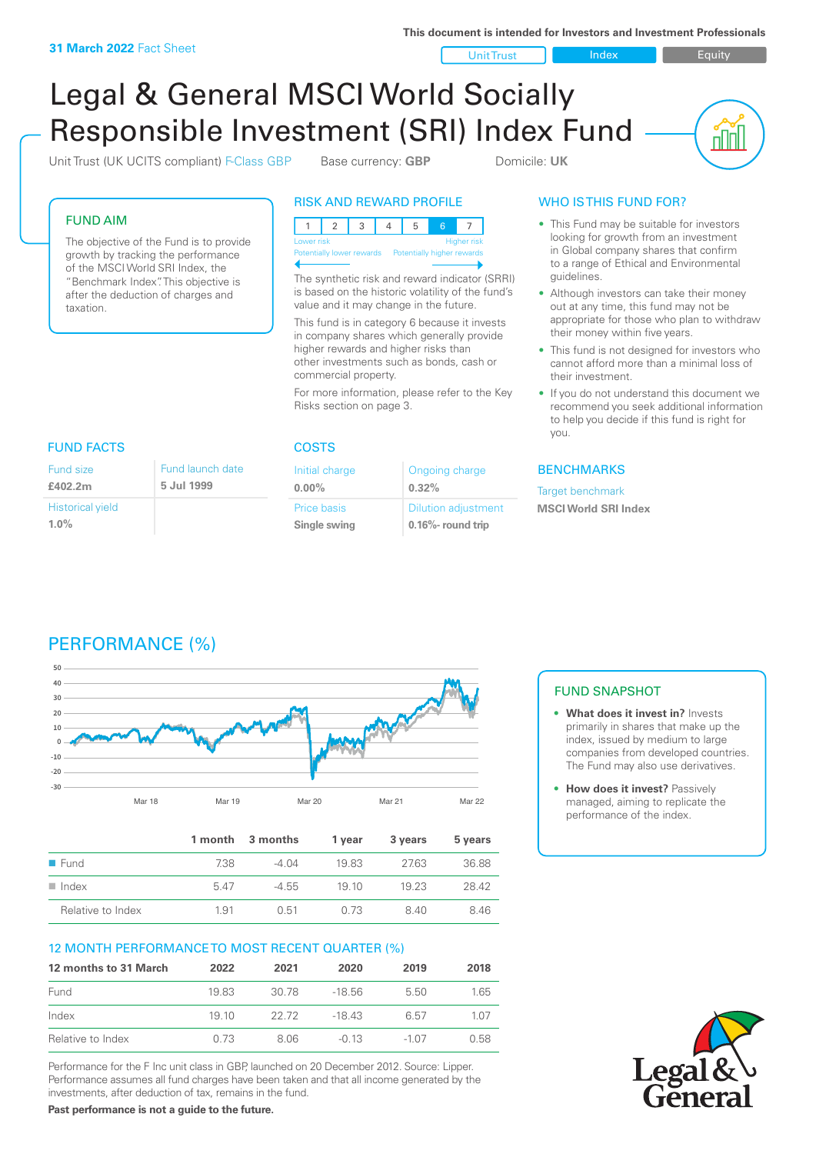**This document is intended for Investors and Investment Professionals**

Unit Trust Index I Equity

<u>nini</u>

# Legal & General MSCI World Socially Responsible Investment (SRI) Index Fund

Unit Trust (UK UCITS compliant) F-Class GBP Base currency: **GBP** Domicile: UK

#### FUND AIM

The objective of the Fund is to provide growth by tracking the performance of the MSCI World SRI Index, the "Benchmark Index". This objective is after the deduction of charges and taxation.

## RISK AND REWARD PROFILE



The synthetic risk and reward indicator (SRRI) is based on the historic volatility of the fund's value and it may change in the future.

This fund is in category 6 because it invests in company shares which generally provide higher rewards and higher risks than other investments such as bonds, cash or commercial property.

For more information, please refer to the Key Risks section on page 3.

Ongoing charge

Dilution adjustment **0.16%- round trip**

**0.32%**

Initial charge **0.00%**

Price basis **Single swing**

# WHO IS THIS FUND FOR?

- This Fund may be suitable for investors looking for growth from an investment in Global company shares that confirm to a range of Ethical and Environmental guidelines.
- Although investors can take their money out at any time, this fund may not be appropriate for those who plan to withdraw their money within five years.
- This fund is not designed for investors who cannot afford more than a minimal loss of their investment.
- If you do not understand this document we recommend you seek additional information to help you decide if this fund is right for you.

#### **BENCHMARKS**

Target benchmark **MSCI World SRI Index**

#### FUND FACTS COSTS Fund size **£402.2m** Historical yield **1.0%** Fund launch date **5 Jul 1999**



|                     |      | 1 month 3 months | 1 year | 3 years | 5 years |
|---------------------|------|------------------|--------|---------|---------|
| $\blacksquare$ Fund | 7.38 | $-4.04$          | 1983   | 27.63   | 36.88   |
| Index               | 547  | $-4.55$          | 19 10  | 19 23   | 28.42   |
| Relative to Index   | 1.91 | 0.51             | 0.73   | 840     | 8.46    |

### 12 MONTH PERFORMANCE TO MOST RECENT QUARTER (%)

| 12 months to 31 March | 2022 | 2021  | 2020    | 2019    | 2018  |
|-----------------------|------|-------|---------|---------|-------|
| Fund                  | 1983 | 30.78 | -18.56  | 5.50    | 1.65  |
| Index                 | 1910 | 22.72 | $-1843$ | 6.57    | 1 0 7 |
| Relative to Index     | 0.73 | 8.06  | $-0.13$ | $-1.07$ | 0.58  |

Performance for the F Inc unit class in GBP, launched on 20 December 2012. Source: Lipper. Performance assumes all fund charges have been taken and that all income generated by the investments, after deduction of tax, remains in the fund.

**Past performance is not a guide to the future.**

# FUND SNAPSHOT

- **• What does it invest in?** Invests primarily in shares that make up the index, issued by medium to large companies from developed countries. The Fund may also use derivatives.
- **• How does it invest?** Passively managed, aiming to replicate the performance of the index.

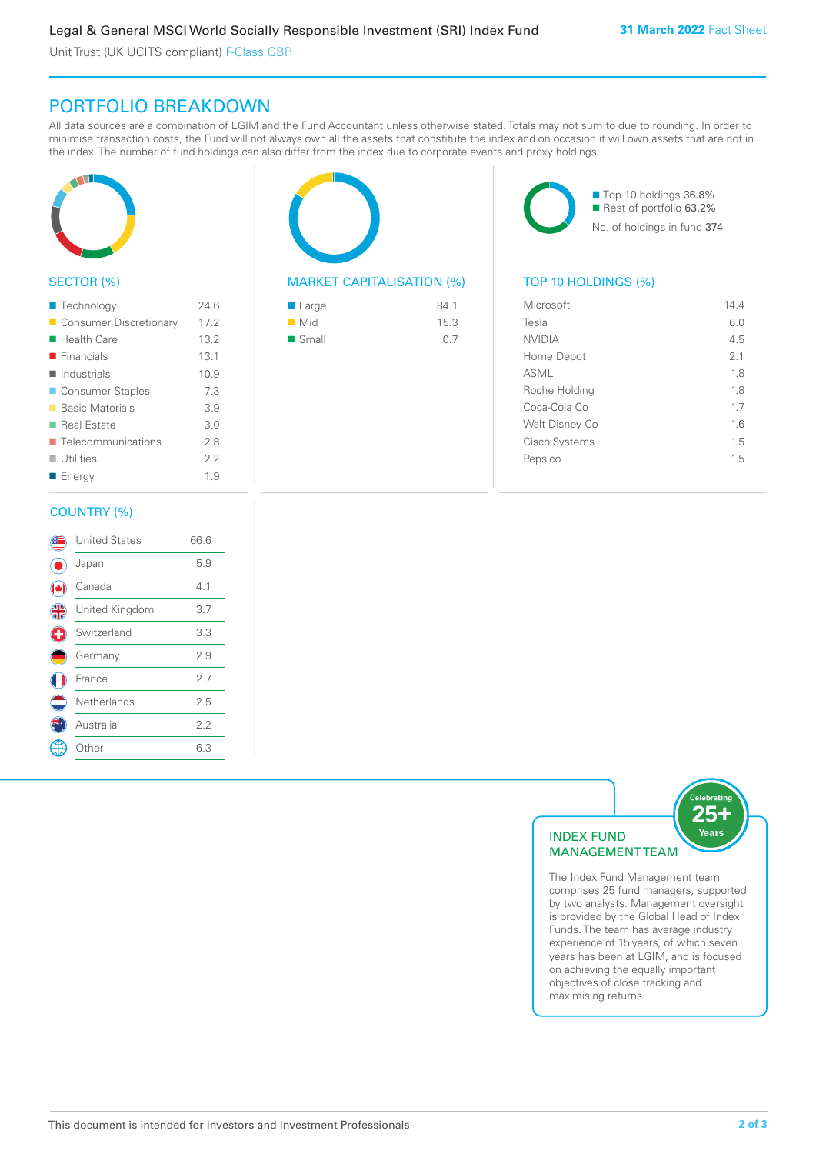Unit Trust (UK UCITS compliant) F-Class GBP

# PORTFOLIO BREAKDOWN

All data sources are a combination of LGIM and the Fund Accountant unless otherwise stated. Totals may not sum to due to rounding. In order to minimise transaction costs, the Fund will not always own all the assets that constitute the index and on occasion it will own assets that are not in the index. The number of fund holdings can also differ from the index due to corporate events and proxy holdings.



#### SECTOR (%)

| ■ Technology                      | 24.6 |
|-----------------------------------|------|
| Consumer Discretionary            | 17.2 |
| ■ Health Care                     | 13.2 |
| $\blacksquare$ Financials         | 13.1 |
| <b>■ Industrials</b>              | 10.9 |
| ■ Consumer Staples                | 7.3  |
| ■ Basic Materials                 | 3.9  |
| ■ Real Estate                     | 3.0  |
| $\blacksquare$ Telecommunications | 2.8  |
| $\blacksquare$ Utilities          | 2.2  |
| ■ Energy                          | 1.9  |
|                                   |      |

#### COUNTRY (%)

|               | <b>United States</b> | 66.6 |  |
|---------------|----------------------|------|--|
|               | Japan                | 5.9  |  |
|               | Canada               | 4.1  |  |
| $\frac{4}{5}$ | United Kingdom       | 3.7  |  |
| Ŧ             | Switzerland          | 3.3  |  |
|               | Germany              | 2.9  |  |
|               | France               | 2.7  |  |
|               | Netherlands          | 2.5  |  |
|               | Australia            | 2.2  |  |
|               | Other                | 6.3  |  |
|               |                      |      |  |



#### MARKET CAPITALISATION (%) TOP 10 HOLDINGS (%)

| ■ Large              | 84.1 |
|----------------------|------|
| $\blacksquare$ Mid   | 15.3 |
| $\blacksquare$ Small | 0.7  |

■ Top 10 holdings 36.8% Rest of portfolio 63.2% No. of holdings in fund 374

| Microsoft      | 144 |
|----------------|-----|
| Tesla          | 6.0 |
| <b>NVIDIA</b>  | 4.5 |
| Home Depot     | 21  |
| ASML           | 1.8 |
| Roche Holding  | 18  |
| Coca-Cola Co   | 17  |
| Walt Disney Co | 16  |
| Cisco Systems  | 1.5 |
| Pepsico        | 1.5 |
|                |     |



The Index Fund Management team comprises 25 fund managers, supported by two analysts. Management oversight is provided by the Global Head of Index Funds. The team has average industry experience of 15 years, of which seven years has been at LGIM, and is focused on achieving the equally important objectives of close tracking and maximising returns.